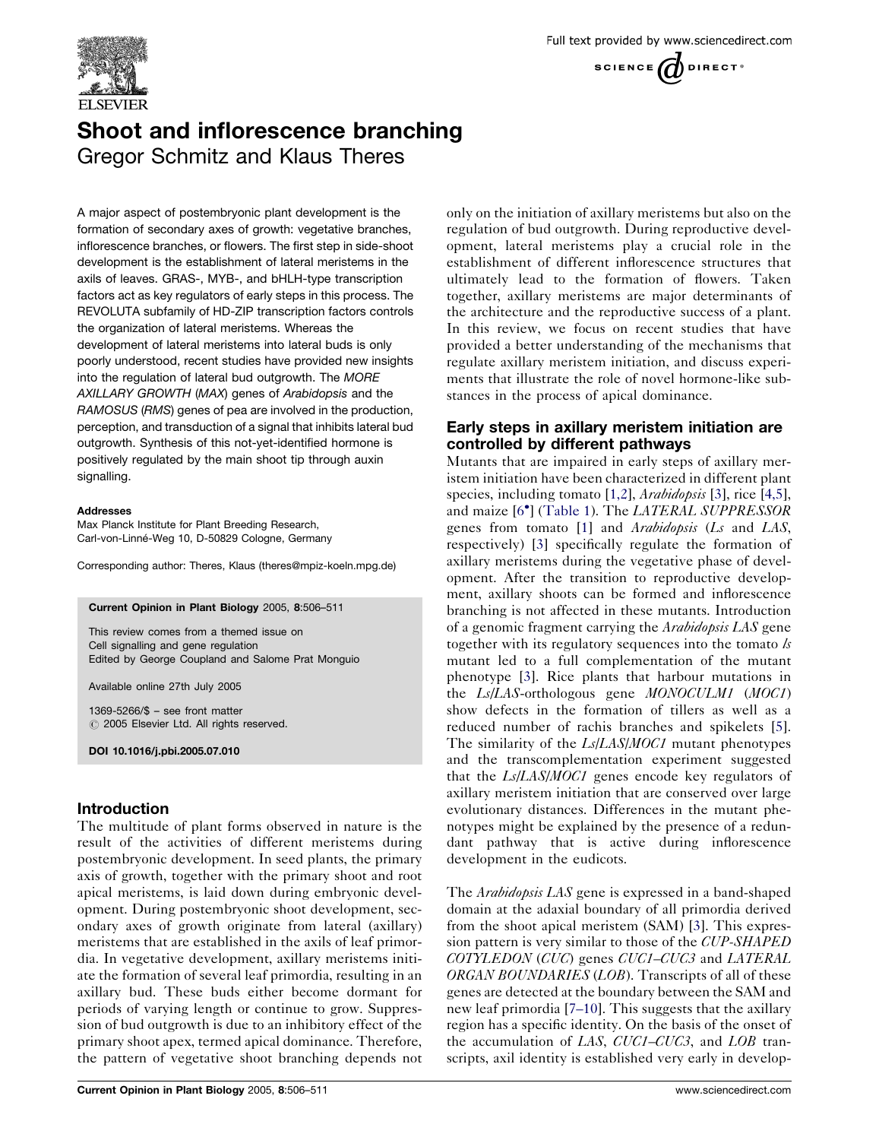

# Shoot and inflorescence branching Gregor Schmitz and Klaus Theres

A major aspect of postembryonic plant development is the formation of secondary axes of growth: vegetative branches, inflorescence branches, or flowers. The first step in side-shoot development is the establishment of lateral meristems in the axils of leaves. GRAS-, MYB-, and bHLH-type transcription factors act as key regulators of early steps in this process. The REVOLUTA subfamily of HD-ZIP transcription factors controls the organization of lateral meristems. Whereas the development of lateral meristems into lateral buds is only poorly understood, recent studies have provided new insights into the regulation of lateral bud outgrowth. The MORE AXILLARY GROWTH (MAX) genes of Arabidopsis and the RAMOSUS (RMS) genes of pea are involved in the production, perception, and transduction of a signal that inhibits lateral bud outgrowth. Synthesis of this not-yet-identified hormone is positively regulated by the main shoot tip through auxin signalling.

#### Addresses

Max Planck Institute for Plant Breeding Research, Carl-von-Linné-Weg 10, D-50829 Cologne, Germany

Corresponding author: Theres, Klaus (theres@mpiz-koeln.mpg.de)

#### Current Opinion in Plant Biology 2005, 8:506–511

This review comes from a themed issue on Cell signalling and gene regulation Edited by George Coupland and Salome Prat Monguio

Available online 27th July 2005

1369-5266/\$ – see front matter  $\odot$  2005 Elsevier Ltd. All rights reserved.

DOI 10.1016/j.pbi.2005.07.010

# Introduction

The multitude of plant forms observed in nature is the result of the activities of different meristems during postembryonic development. In seed plants, the primary axis of growth, together with the primary shoot and root apical meristems, is laid down during embryonic development. During postembryonic shoot development, secondary axes of growth originate from lateral (axillary) meristems that are established in the axils of leaf primordia. In vegetative development, axillary meristems initiate the formation of several leaf primordia, resulting in an axillary bud. These buds either become dormant for periods of varying length or continue to grow. Suppression of bud outgrowth is due to an inhibitory effect of the primary shoot apex, termed apical dominance. Therefore, the pattern of vegetative shoot branching depends not

only on the initiation of axillary meristems but also on the regulation of bud outgrowth. During reproductive development, lateral meristems play a crucial role in the establishment of different inflorescence structures that ultimately lead to the formation of flowers. Taken together, axillary meristems are major determinants of the architecture and the reproductive success of a plant. In this review, we focus on recent studies that have provided a better understanding of the mechanisms that regulate axillary meristem initiation, and discuss experiments that illustrate the role of novel hormone-like substances in the process of apical dominance.

## Early steps in axillary meristem initiation are controlled by different pathways

Mutants that are impaired in early steps of axillary meristem initiation have been characterized in different plant species, including tomato [[1,2](#page-3-0)], *Arabidopsis* [[3\]](#page-3-0), rice [\[4,5](#page-3-0)], and maize [\[6](#page-4-0)<sup>\*</sup>] [\(Table 1\)](#page-1-0). The *LATERAL SUPPRESSOR* genes from tomato [[1\]](#page-3-0) and *Arabidopsis* (*Ls* and *LAS*, respectively) [[3\]](#page-3-0) specifically regulate the formation of axillary meristems during the vegetative phase of development. After the transition to reproductive development, axillary shoots can be formed and inflorescence branching is not affected in these mutants. Introduction of a genomic fragment carrying the Arabidopsis LAS gene together with its regulatory sequences into the tomato  $\lambda$ mutant led to a full complementation of the mutant phenotype [[3\]](#page-3-0). Rice plants that harbour mutations in the Ls/LAS-orthologous gene MONOCULM1 (MOC1) show defects in the formation of tillers as well as a reduced number of rachis branches and spikelets [[5](#page-3-0)]. The similarity of the *Ls*/*LAS*/*MOC1* mutant phenotypes and the transcomplementation experiment suggested that the Ls/LAS/MOC1 genes encode key regulators of axillary meristem initiation that are conserved over large evolutionary distances. Differences in the mutant phenotypes might be explained by the presence of a redundant pathway that is active during inflorescence development in the eudicots.

The *Arabidopsis LAS* gene is expressed in a band-shaped domain at the adaxial boundary of all primordia derived from the shoot apical meristem (SAM) [\[3](#page-3-0)]. This expression pattern is very similar to those of the *CUP-SHAPED* COTYLEDON (CUC) genes CUC1–CUC3 and LATERAL ORGAN BOUNDARIES (LOB). Transcripts of all of these genes are detected at the boundary between the SAM and new leaf primordia [\[7–10](#page-4-0)]. This suggests that the axillary region has a specific identity. On the basis of the onset of the accumulation of LAS, CUC1-CUC3, and LOB transcripts, axil identity is established very early in develop-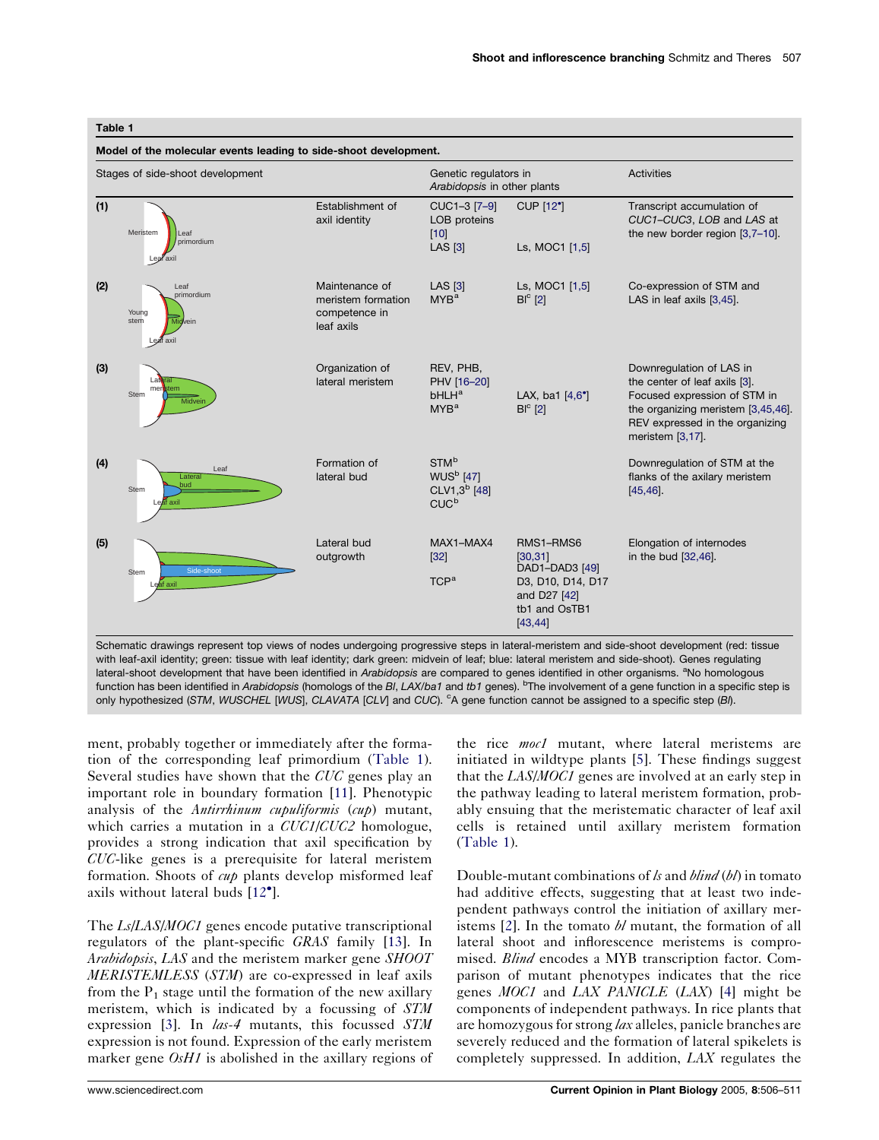| Stages of side-shoot development |                                                             |                                                                     | Genetic regulators in<br>Arabidopsis in other plants                                   |                                                                                                           | Activities                                                                                                                                                                             |
|----------------------------------|-------------------------------------------------------------|---------------------------------------------------------------------|----------------------------------------------------------------------------------------|-----------------------------------------------------------------------------------------------------------|----------------------------------------------------------------------------------------------------------------------------------------------------------------------------------------|
| (1)                              | Meristem<br>Leaf<br>primordium<br>Lear axil                 | Establishment of<br>axil identity                                   | CUC1-3 [7-9]<br>LOB proteins<br>$[10]$<br><b>LAS [3]</b>                               | <b>CUP [12°]</b><br>Ls, MOC1 [1,5]                                                                        | Transcript accumulation of<br>CUC1-CUC3, LOB and LAS at<br>the new border region [3,7-10].                                                                                             |
| (2)                              | Leaf<br>primordium<br>Young<br>stem<br>Midvein<br>Leaf axil | Maintenance of<br>meristem formation<br>competence in<br>leaf axils | <b>LAS [3]</b><br>MYB <sup>a</sup>                                                     | Ls, MOC1 [1,5]<br>$BIc$ [2]                                                                               | Co-expression of STM and<br>LAS in leaf axils [3,45].                                                                                                                                  |
| (3)                              | meristem<br>Stem<br>Midveir                                 | Organization of<br>lateral meristem                                 | REV, PHB,<br>PHV [16-20]<br>bHLH <sup>a</sup><br>MYB <sup>a</sup>                      | LAX, ba1 $[4,6^{\circ}]$<br>$BIc$ [2]                                                                     | Downregulation of LAS in<br>the center of leaf axils [3].<br>Focused expression of STM in<br>the organizing meristem [3,45,46].<br>REV expressed in the organizing<br>meristem [3,17]. |
| (4)                              | Leaf<br>Lateral<br><b>bud</b><br>Stem<br>Leaf axil          | Formation of<br>lateral bud                                         | STM <sup>b</sup><br><b>WUS<sup>b</sup></b> [47]<br>$CLV1,3^b$ [48]<br>CUC <sup>b</sup> |                                                                                                           | Downregulation of STM at the<br>flanks of the axilary meristem<br>[45, 46]                                                                                                             |
| (5)                              | Side-shoot<br>Stem<br>Leaf axil                             | Lateral bud<br>outgrowth                                            | MAX1-MAX4<br>$[32]$<br>TCP <sup>a</sup>                                                | RMS1-RMS6<br>[30, 31]<br>DAD1-DAD3 [49]<br>D3, D10, D14, D17<br>and D27 [42]<br>tb1 and OsTB1<br>[43, 44] | Elongation of internodes<br>in the bud [32,46].                                                                                                                                        |

with leaf-axil identity; green: tissue with leaf identity; dark green: midvein of leaf; blue: lateral meristem and side-shoot). Genes regulating lateral-shoot development that have been identified in Arabidopsis are compared to genes identified in other organisms. <sup>a</sup>No homologous function has been identified in Arabidopsis (homologs of the Bl, LAX/ba1 and tb1 genes). <sup>b</sup>The involvement of a gene function in a specific step is only hypothesized (STM, WUSCHEL [WUS], CLAVATA [CLV] and CUC). <sup>c</sup>A gene function cannot be assigned to a specific step (BI).

ment, probably together or immediately after the formation of the corresponding leaf primordium (Table 1). Several studies have shown that the CUC genes play an important role in boundary formation [[11\]](#page-4-0). Phenotypic analysis of the Antirrhinum cupuliformis (cup) mutant, which carries a mutation in a CUC1/CUC2 homologue, provides a strong indication that axil specification by CUC-like genes is a prerequisite for lateral meristem formation. Shoots of *cup* plants develop misformed leaf axils without lateral buds [[12](#page-4-0)<sup>°</sup>].

The *Ls*/*LAS*/*MOC1* genes encode putative transcriptional regulators of the plant-specific GRAS family [\[13](#page-4-0)]. In Arabidopsis, LAS and the meristem marker gene SHOOT MERISTEMLESS (STM) are co-expressed in leaf axils from the  $P_1$  stage until the formation of the new axillary meristem, which is indicated by a focussing of STM expression [\[3](#page-3-0)]. In *las-4* mutants, this focussed STM expression is not found. Expression of the early meristem marker gene *OsH1* is abolished in the axillary regions of

the rice moc1 mutant, where lateral meristems are initiated in wildtype plants [[5\]](#page-3-0). These findings suggest that the LAS/MOC1 genes are involved at an early step in the pathway leading to lateral meristem formation, probably ensuing that the meristematic character of leaf axil cells is retained until axillary meristem formation (Table 1).

Double-mutant combinations of  $k$  and  $\mathit{blind}\left(\mathit{bl}\right)$  in tomato had additive effects, suggesting that at least two independent pathways control the initiation of axillary meristems  $[2]$  $[2]$ . In the tomato  $bl$  mutant, the formation of all lateral shoot and inflorescence meristems is compromised. Blind encodes a MYB transcription factor. Comparison of mutant phenotypes indicates that the rice genes MOC1 and LAX PANICLE (LAX) [[4\]](#page-3-0) might be components of independent pathways. In rice plants that are homozygous for strong *lax* alleles, panicle branches are severely reduced and the formation of lateral spikelets is completely suppressed. In addition, LAX regulates the

<span id="page-1-0"></span>Table 1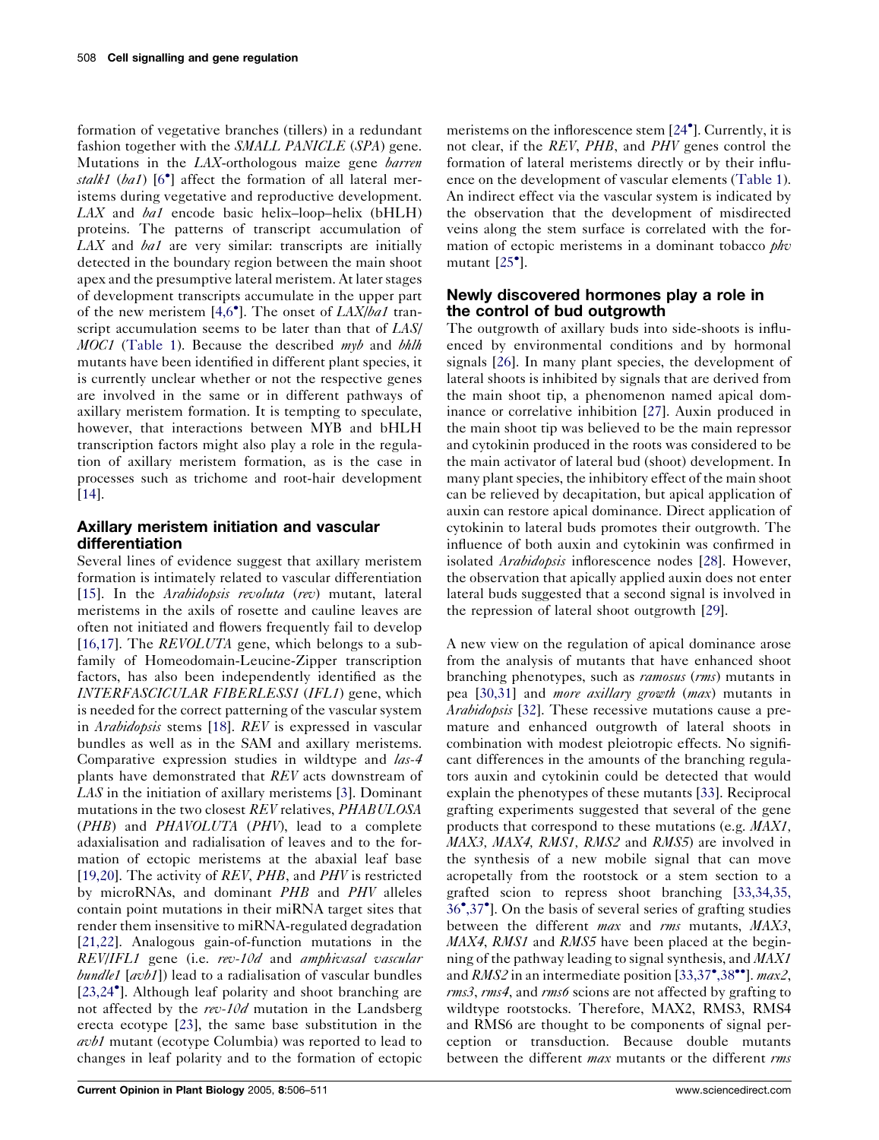formation of vegetative branches (tillers) in a redundant fashion together with the *SMALL PANICLE* (*SPA*) gene. Mutations in the LAX-orthologous maize gene *barren* stalk1 (ba1)  $[6^{\circ}]$  $[6^{\circ}]$  $[6^{\circ}]$  affect the formation of all lateral meristems during vegetative and reproductive development.  $LAX$  and  $ba1$  encode basic helix–loop–helix (bHLH) proteins. The patterns of transcript accumulation of  $LAX$  and  $ba1$  are very similar: transcripts are initially detected in the boundary region between the main shoot apex and the presumptive lateral meristem. At later stages of development transcripts accumulate in the upper part of the new meristem  $[4,6^{\circ}]$  $[4,6^{\circ}]$ . The onset of  $LAX/ba1$  transcript accumulation seems to be later than that of LAS/ MOC1 ([Table 1](#page-1-0)). Because the described myb and bhlh mutants have been identified in different plant species, it is currently unclear whether or not the respective genes are involved in the same or in different pathways of axillary meristem formation. It is tempting to speculate, however, that interactions between MYB and bHLH transcription factors might also play a role in the regulation of axillary meristem formation, as is the case in processes such as trichome and root-hair development [\[14](#page-4-0)].

# Axillary meristem initiation and vascular differentiation

Several lines of evidence suggest that axillary meristem formation is intimately related to vascular differentiation [\[15](#page-4-0)]. In the *Arabidopsis revoluta (rev)* mutant, lateral meristems in the axils of rosette and cauline leaves are often not initiated and flowers frequently fail to develop [\[16,17\]](#page-4-0). The *REVOLUTA* gene, which belongs to a subfamily of Homeodomain-Leucine-Zipper transcription factors, has also been independently identified as the INTERFASCICULAR FIBERLESS1 (IFL1) gene, which is needed for the correct patterning of the vascular system in Arabidopsis stems [[18](#page-4-0)]. REV is expressed in vascular bundles as well as in the SAM and axillary meristems. Comparative expression studies in wildtype and *las-4* plants have demonstrated that REV acts downstream of LAS in the initiation of axillary meristems [\[3](#page-3-0)]. Dominant mutations in the two closest REV relatives, PHABULOSA (PHB) and PHAVOLUTA (PHV), lead to a complete adaxialisation and radialisation of leaves and to the formation of ectopic meristems at the abaxial leaf base [\[19,20\]](#page-4-0). The activity of REV, PHB, and PHV is restricted by microRNAs, and dominant PHB and PHV alleles contain point mutations in their miRNA target sites that render them insensitive to miRNA-regulated degradation [\[21,22\]](#page-4-0). Analogous gain-of-function mutations in the REV/IFL1 gene (i.e. rev-10d and amphivasal vascular  $b$ undle1 [avb1]) lead to a radialisation of vascular bundles [\[23,24](#page-4-0) ]. Although leaf polarity and shoot branching are not affected by the  $rev-10d$  mutation in the Landsberg erecta ecotype [[23\]](#page-4-0), the same base substitution in the avb1 mutant (ecotype Columbia) was reported to lead to changes in leaf polarity and to the formation of ectopic

meristems on the inflorescence stem [\[24](#page-4-0) ]. Currently, it is not clear, if the REV, PHB, and PHV genes control the formation of lateral meristems directly or by their influence on the development of vascular elements ([Table 1](#page-1-0)). An indirect effect via the vascular system is indicated by the observation that the development of misdirected veins along the stem surface is correlated with the formation of ectopic meristems in a dominant tobacco *phv* mutant  $[25^{\bullet}]$  $[25^{\bullet}]$ .

# Newly discovered hormones play a role in the control of bud outgrowth

The outgrowth of axillary buds into side-shoots is influenced by environmental conditions and by hormonal signals [\[26](#page-4-0)]. In many plant species, the development of lateral shoots is inhibited by signals that are derived from the main shoot tip, a phenomenon named apical dominance or correlative inhibition [\[27](#page-4-0)]. Auxin produced in the main shoot tip was believed to be the main repressor and cytokinin produced in the roots was considered to be the main activator of lateral bud (shoot) development. In many plant species, the inhibitory effect of the main shoot can be relieved by decapitation, but apical application of auxin can restore apical dominance. Direct application of cytokinin to lateral buds promotes their outgrowth. The influence of both auxin and cytokinin was confirmed in isolated *Arabidopsis* inflorescence nodes [\[28](#page-4-0)]. However, the observation that apically applied auxin does not enter lateral buds suggested that a second signal is involved in the repression of lateral shoot outgrowth [[29\]](#page-4-0).

A new view on the regulation of apical dominance arose from the analysis of mutants that have enhanced shoot branching phenotypes, such as ramosus (rms) mutants in pea [\[30,31\]](#page-4-0) and more axillary growth (max) mutants in Arabidopsis [[32\]](#page-4-0). These recessive mutations cause a premature and enhanced outgrowth of lateral shoots in combination with modest pleiotropic effects. No significant differences in the amounts of the branching regulators auxin and cytokinin could be detected that would explain the phenotypes of these mutants [\[33](#page-4-0)]. Reciprocal grafting experiments suggested that several of the gene products that correspond to these mutations (e.g. MAX1, MAX3, MAX4, RMS1, RMS2 and RMS5) are involved in the synthesis of a new mobile signal that can move acropetally from the rootstock or a stem section to a grafted scion to repress shoot branching [[33,34,35,](#page-4-0) [36](#page-4-0) [,37](#page-4-0) ]. On the basis of several series of grafting studies between the different *max* and *rms* mutants, MAX3, MAX4, RMS1 and RMS5 have been placed at the beginning of the pathway leading to signal synthesis, and MAX1 and  $RMS2$  in an intermediate position [\[33,37](#page-4-0)°[,38](#page-4-0)°°]. max2, rms3, rms4, and rms6 scions are not affected by grafting to wildtype rootstocks. Therefore, MAX2, RMS3, RMS4 and RMS6 are thought to be components of signal perception or transduction. Because double mutants between the different max mutants or the different rms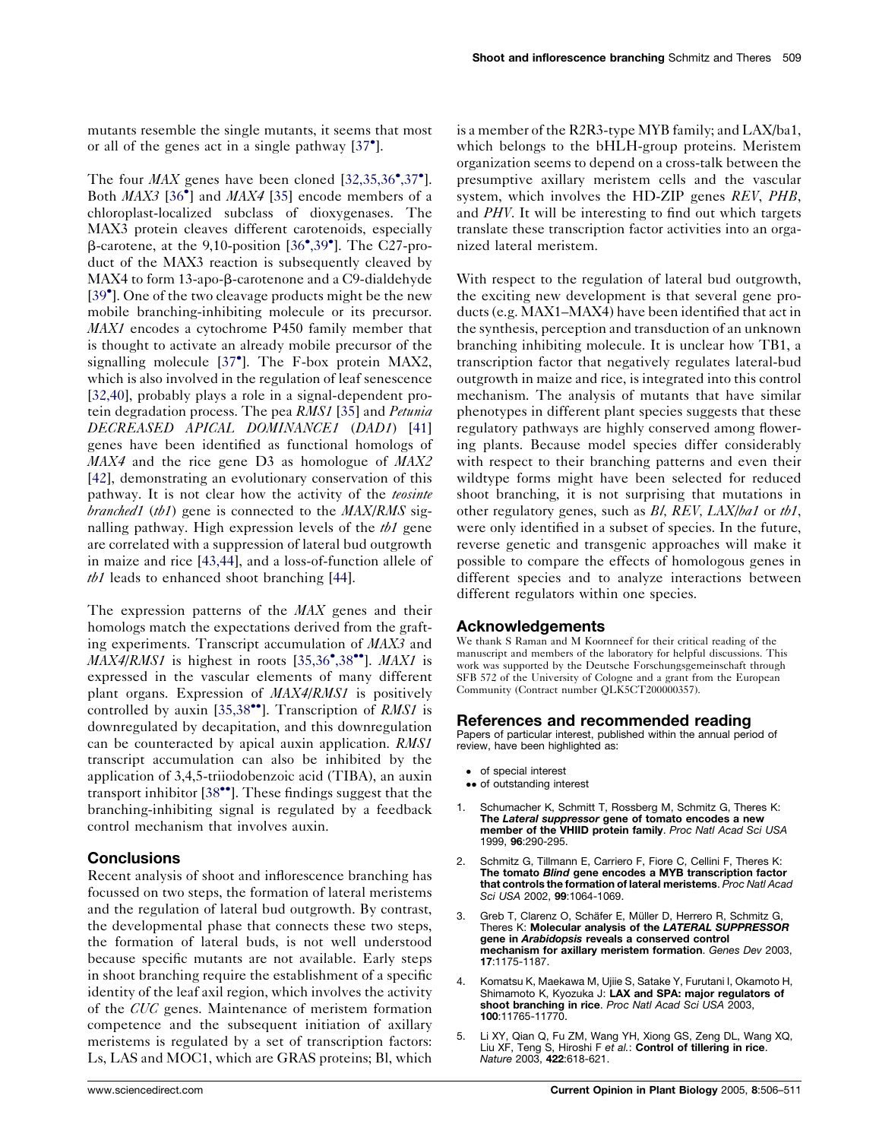<span id="page-3-0"></span>mutants resemble the single mutants, it seems that most or all of the genes act in a single pathway  $[37^{\bullet}]$  $[37^{\bullet}]$  $[37^{\bullet}]$ .

The four  $MAX$  genes have been cloned  $[32,35,36^{\bullet},37^{\bullet}]$  $[32,35,36^{\bullet},37^{\bullet}]$  $[32,35,36^{\bullet},37^{\bullet}]$  $[32,35,36^{\bullet},37^{\bullet}]$ . Both MAX3 [\[36](#page-4-0)<sup>\*</sup>] and MAX4 [[35\]](#page-4-0) encode members of a chloroplast-localized subclass of dioxygenases. The MAX3 protein cleaves different carotenoids, especially  $\beta$ -carotene, at the 9,10-position [[36](#page-4-0)°[,39](#page-4-0)°]. The C27-product of the MAX3 reaction is subsequently cleaved by MAX4 to form 13-apo-β-carotenone and a C9-dialdehyde [\[39](#page-5-0)<sup>°</sup>]. One of the two cleavage products might be the new mobile branching-inhibiting molecule or its precursor. MAX1 encodes a cytochrome P450 family member that is thought to activate an already mobile precursor of the signalling molecule [[37](#page-4-0)<sup>°</sup>]. The F-box protein MAX2, which is also involved in the regulation of leaf senescence [\[32,40\]](#page-4-0), probably plays a role in a signal-dependent pro-tein degradation process. The pea RMS1 [\[35](#page-4-0)] and Petunia DECREASED APICAL DOMINANCE1 (DAD1) [[41\]](#page-5-0) genes have been identified as functional homologs of MAX4 and the rice gene D3 as homologue of MAX2 [\[42](#page-5-0)], demonstrating an evolutionary conservation of this pathway. It is not clear how the activity of the *teosinte branched1* (*tb1*) gene is connected to the  $MAX/RMS$  signalling pathway. High expression levels of the  $tb1$  gene are correlated with a suppression of lateral bud outgrowth in maize and rice [[43,44](#page-5-0)], and a loss-of-function allele of *tb1* leads to enhanced shoot branching  $[44]$  $[44]$ .

The expression patterns of the *MAX* genes and their homologs match the expectations derived from the grafting experiments. Transcript accumulation of MAX3 and  $\overline{MAX4}$ /RMS1 is highest in roots [\[35,36](#page-4-0)°[,38](#page-4-0)°°]. MAX1 is expressed in the vascular elements of many different plant organs. Expression of MAX4/RMS1 is positively controlled by auxin [\[35,38](#page-4-0)<sup> $\bullet$ </sup>]. Transcription of *RMS1* is downregulated by decapitation, and this downregulation can be counteracted by apical auxin application. RMS1 transcript accumulation can also be inhibited by the application of 3,4,5-triiodobenzoic acid (TIBA), an auxin transport inhibitor  $[38\text{°}$  $[38\text{°}$ . These findings suggest that the branching-inhibiting signal is regulated by a feedback control mechanism that involves auxin.

## **Conclusions**

Recent analysis of shoot and inflorescence branching has focussed on two steps, the formation of lateral meristems and the regulation of lateral bud outgrowth. By contrast, the developmental phase that connects these two steps, the formation of lateral buds, is not well understood because specific mutants are not available. Early steps in shoot branching require the establishment of a specific identity of the leaf axil region, which involves the activity of the CUC genes. Maintenance of meristem formation competence and the subsequent initiation of axillary meristems is regulated by a set of transcription factors: Ls, LAS and MOC1, which are GRAS proteins; Bl, which

is a member of the R2R3-type MYB family; and LAX/ba1, which belongs to the bHLH-group proteins. Meristem organization seems to depend on a cross-talk between the presumptive axillary meristem cells and the vascular system, which involves the HD-ZIP genes REV, PHB, and PHV. It will be interesting to find out which targets translate these transcription factor activities into an organized lateral meristem.

With respect to the regulation of lateral bud outgrowth, the exciting new development is that several gene products (e.g. MAX1–MAX4) have been identified that act in the synthesis, perception and transduction of an unknown branching inhibiting molecule. It is unclear how TB1, a transcription factor that negatively regulates lateral-bud outgrowth in maize and rice, is integrated into this control mechanism. The analysis of mutants that have similar phenotypes in different plant species suggests that these regulatory pathways are highly conserved among flowering plants. Because model species differ considerably with respect to their branching patterns and even their wildtype forms might have been selected for reduced shoot branching, it is not surprising that mutations in other regulatory genes, such as  $Bl$ ,  $REV$ ,  $LAX/ba1$  or  $tb1$ , were only identified in a subset of species. In the future, reverse genetic and transgenic approaches will make it possible to compare the effects of homologous genes in different species and to analyze interactions between different regulators within one species.

## **Acknowledgements**

We thank S Raman and M Koornneef for their critical reading of the manuscript and members of the laboratory for helpful discussions. This work was supported by the Deutsche Forschungsgemeinschaft through SFB 572 of the University of Cologne and a grant from the European Community (Contract number QLK5CT200000357).

#### References and recommended reading

Papers of particular interest, published within the annual period of review, have been highlighted as:

- of special interest
- •• of outstanding interest
- 1. Schumacher K, Schmitt T, Rossberg M, Schmitz G, Theres K: The Lateral suppressor gene of tomato encodes a new member of the VHIID protein family. Proc Natl Acad Sci USA 1999, 96:290-295.
- 2. Schmitz G, Tillmann E, Carriero F, Fiore C, Cellini F, Theres K: The tomato Blind gene encodes a MYB transcription factor that controls the formation of lateral meristems. Proc Natl Acad Sci USA 2002, 99:1064-1069.
- 3. Greb T, Clarenz O, Schäfer E, Müller D, Herrero R, Schmitz G, Theres K: Molecular analysis of the LATERAL SUPPRESSOR gene in Arabidopsis reveals a conserved control mechanism for axillary meristem formation. Genes Dev 2003. 17:1175-1187.
- 4. Komatsu K, Maekawa M, Ujiie S, Satake Y, Furutani I, Okamoto H, Shimamoto K, Kyozuka J: LAX and SPA: major regulators of shoot branching in rice. Proc Natl Acad Sci USA 2003, 100:11765-11770.
- 5. Li XY, Qian Q, Fu ZM, Wang YH, Xiong GS, Zeng DL, Wang XQ, Liu XF, Teng S, Hiroshi F e*t al.*: **Control of tillering in rice**.<br>*Nature* 2003, **422**:618-621.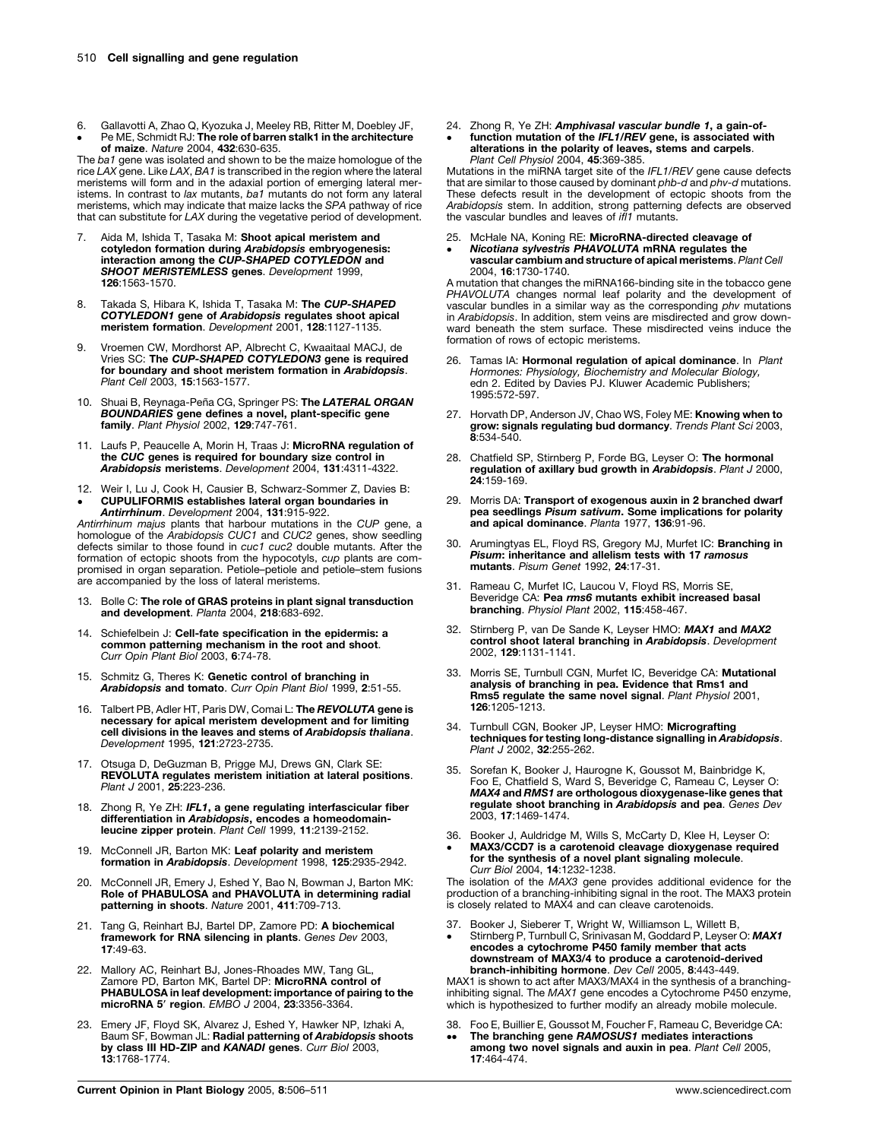- <span id="page-4-0"></span>6. Gallavotti A, Zhao Q, Kyozuka J, Meeley RB, Ritter M, Doebley JF,
- $\bullet$ Pe ME, Schmidt RJ: The role of barren stalk1 in the architecture of maize. Nature 2004, 432:630-635.

The ba1 gene was isolated and shown to be the maize homologue of the rice LAX gene. Like LAX, BA1 is transcribed in the region where the lateral meristems will form and in the adaxial portion of emerging lateral meristems. In contrast to lax mutants, ba1 mutants do not form any lateral meristems, which may indicate that maize lacks the SPA pathway of rice that can substitute for LAX during the vegetative period of development.

- 7. Aida M, Ishida T, Tasaka M: Shoot apical meristem and cotyledon formation during Arabidopsis embryogenesis: interaction among the CUP-SHAPED COTYLEDON and<br>SHOOT MERISTEMLESS genes. Development 1999, 126:1563-1570.
- 8. Takada S, Hibara K, Ishida T, Tasaka M: The CUP-SHAPED COTYLEDON1 gene of Arabidopsis regulates shoot apical meristem formation. Development 2001, 128:1127-1135
- 9. Vroemen CW, Mordhorst AP, Albrecht C, Kwaaitaal MACJ, de Vries SC: The CUP-SHAPED COTYLEDON3 gene is required for boundary and shoot meristem formation in Arabidopsis. Plant Cell 2003, 15:1563-1577.
- 10. Shuai B, Reynaga-Peña CG, Springer PS: The LATERAL ORGAN BOUNDARIES gene defines a novel, plant-specific gene family. Plant Physiol 2002, 129:747-761.
- 11. Laufs P, Peaucelle A, Morin H, Traas J: MicroRNA regulation of the CUC genes is required for boundary size control in Arabidopsis meristems. Development 2004, 131:4311-4322.
- 12. Weir I, Lu J, Cook H, Causier B, Schwarz-Sommer Z, Davies B:
- $\bullet$ CUPULIFORMIS establishes lateral organ boundaries in Antirrhinum. Development 2004, 131:915-922.

Antirrhinum majus plants that harbour mutations in the CUP gene, a homologue of the Arabidopsis CUC1 and CUC2 genes, show seedling defects similar to those found in cuc1 cuc2 double mutants. After the formation of ectopic shoots from the hypocotyls, cup plants are compromised in organ separation. Petiole–petiole and petiole–stem fusions are accompanied by the loss of lateral meristems.

- 13. Bolle C: The role of GRAS proteins in plant signal transduction and development. Planta 2004, 218:683-692.
- 14. Schiefelbein J: Cell-fate specification in the epidermis: a common patterning mechanism in the root and shoot. Curr Opin Plant Biol 2003, 6:74-78.
- 15. Schmitz G, Theres K: Genetic control of branching in Arabidopsis and tomato. Curr Opin Plant Biol 1999, 2:51-55.
- 16. Talbert PB, Adler HT, Paris DW, Comai L: The REVOLUTA gene is necessary for apical meristem development and for limiting cell divisions in the leaves and stems of Arabidopsis thaliana. Development 1995, 121:2723-2735.
- 17. Otsuga D, DeGuzman B, Prigge MJ, Drews GN, Clark SE: REVOLUTA regulates meristem initiation at lateral positions. Plant J 2001, 25:223-236.
- 18. Zhong R, Ye ZH: IFL1, a gene regulating interfascicular fiber differentiation in Arabidopsis, encodes a homeodomainleucine zipper protein. Plant Cell 1999, 11:2139-2152.
- 19. McConnell JR, Barton MK: Leaf polarity and meristem formation in Arabidopsis. Development 1998, 125:2935-2942.
- 20. McConnell JR, Emery J, Eshed Y, Bao N, Bowman J, Barton MK:<br>**Role of PHABULOSA and PHAVOLUTA in determining radial** patterning in shoots. Nature 2001, 411:709-713.
- 21. Tang G, Reinhart BJ, Bartel DP, Zamore PD: A biochemical framework for RNA silencing in plants. Genes Dev 2003, 17:49-63.
- 22. Mallory AC, Reinhart BJ, Jones-Rhoades MW, Tang GL,<br>Zamore PD, Barton MK, Bartel DP: **MicroRNA control of<br>PHABULOSA in leaf development: importance of pairing to the<br>microRNA 5' region. EMBO J 2004, 23:3356-3364.**
- 23. Emery JF, Floyd SK, Alvarez J, Eshed Y, Hawker NP, Izhaki A, Baum SF, Bowman JL: Radial patterning of Arabidopsis shoots by class III HD-ZIP and KANADI genes. Curr Biol 2003, 13:1768-1774.
- 24. Zhong R, Ye ZH: Amphivasal vascular bundle 1, a gain-of-
- $\bullet$ function mutation of the IFL1/REV gene, is associated with alterations in the polarity of leaves, stems and carpels. Plant Cell Physiol 2004, 45:369-385.

Mutations in the miRNA target site of the IFL1/REV gene cause defects that are similar to those caused by dominant *phb-d* and *phy-d* mutations. These defects result in the development of ectopic shoots from the Arabidopsis stem. In addition, strong patterning defects are observed<br>the vascular bundles and leaves of *ifl1* mutants.

- 25. McHale NA, Koning RE: MicroRNA-directed cleavage of
- $\bullet$ Nicotiana sylvestris PHAVOLUTA mRNA regulates the vascular cambium and structure of apical meristems. Plant Cell 2004, 16:1730-1740.

A mutation that changes the miRNA166-binding site in the tobacco gene PHAVOLUTA changes normal leaf polarity and the development of vascular bundles in a similar way as the corresponding phv mutations in Arabidopsis. In addition, stem veins are misdirected and grow downward beneath the stem surface. These misdirected veins induce the formation of rows of ectopic meristems.

- 26. Tamas IA: Hormonal regulation of apical dominance. In Plant Hormones: Physiology, Biochemistry and Molecular Biology, edn 2. Edited by Davies PJ. Kluwer Academic Publishers; 1995:572-597.
- 27. Horvath DP, Anderson JV, Chao WS, Foley ME: Knowing when to grow: signals regulating bud dormancy. Trends Plant Sci 2003, 8:534-540.
- 28. Chatfield SP, Stirnberg P, Forde BG, Leyser O: The hormonal regulation of axillary bud growth in Arabidopsis. Plant J 2000, 24:159-169.
- 29. Morris DA: Transport of exogenous auxin in 2 branched dwarf pea seedlings Pisum sativum. Some implications for polarity and apical dominance. Planta 1977, 136:91-96.
- 30. Arumingtyas EL, Floyd RS, Gregory MJ, Murfet IC: Branching in Pisum: inheritance and allelism tests with 17 ramosus mutants. Pisum Genet 1992, 24:17-31.
- 31. Rameau C, Murfet IC, Laucou V, Floyd RS, Morris SE, Beveridge CA: Pea rms6 mutants exhibit increased basal branching. Physiol Plant 2002, 115:458-467.
- 32. Stirnberg P, van De Sande K, Leyser HMO: MAX1 and MAX2 control shoot lateral branching in Arabidopsis. Development 2002, 129:1131-1141.
- 33. Morris SE, Turnbull CGN, Murfet IC, Beveridge CA: Mutational analysis of branching in pea. Evidence that Rms1 and Rms5 regulate the same novel signal. Plant Physiol 2001, 126:1205-1213.
- 34. Turnbull CGN, Booker JP, Leyser HMO: Micrografting techniques for testing long-distance signalling in Arabidopsis. Plant J 2002, 32:255-262.
- 35. Sorefan K, Booker J, Haurogne K, Goussot M, Bainbridge K, Foo E, Chatfield S, Ward S, Beveridge C, Rameau C, Leyser O: MAX4 and RMS1 are orthologous dioxygenase-like genes that regulate shoot branching in Arabidopsis and pea. Genes Dev 2003, 17:1469-1474.
- 36. Booker J, Auldridge M, Wills S, McCarty D, Klee H, Leyser O:  $\bullet$ MAX3/CCD7 is a carotenoid cleavage dioxygenase required for the synthesis of a novel plant signaling molecule. Curr Biol 2004, 14:1232-1238.

The isolation of the MAX3 gene provides additional evidence for the production of a branching-inhibiting signal in the root. The MAX3 protein is closely related to MAX4 and can cleave carotenoids.

- 37. Booker J, Sieberer T, Wright W, Williamson L, Willett B,
- $\bullet$ Stirnberg P, Turnbull C, Srinivasan M, Goddard P, Leyser O: MAX1 encodes a cytochrome P450 family member that acts downstream of MAX3/4 to produce a carotenoid-derived branch-inhibiting hormone. Dev Cell 2005, 8:443-449.

MAX1 is shown to act after MAX3/MAX4 in the synthesis of a branchinginhibiting signal. The MAX1 gene encodes a Cytochrome P450 enzyme, which is hypothesized to further modify an already mobile molecule.

- 38. Foo E, Buillier E, Goussot M, Foucher F, Rameau C, Beveridge CA:
- $\bullet \bullet$ The branching gene RAMOSUS1 mediates interactions among two novel signals and auxin in pea. Plant Cell 2005, 17:464-474.